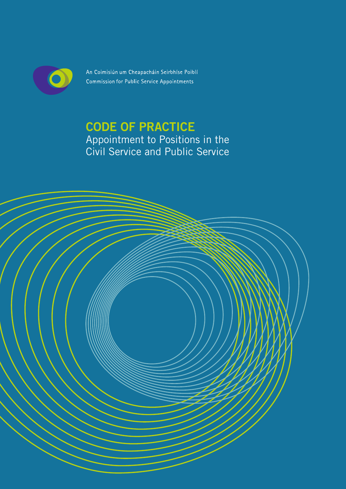

An Coimisiún um Cheapacháin Seirbhíse Poiblí **Commission for Public Service Appointments** 

# **CODE OF PRACTICE** Appointment to Positions in the Civil Service and Public Service

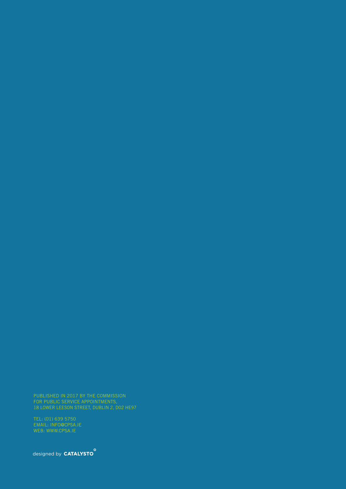PUBLISHED IN 2017 BY THE COMMISSION FOR PUBLIC SERVICE APPOINTMENTS, 18 LOWER LEESON STREET, DUBLIN 2, D02 HE97

TEL: (01) 639 5750 EMAIL: INFO@CPSA.IE WEB: WWW.CPSA.IE

designed by **CATALYSTO**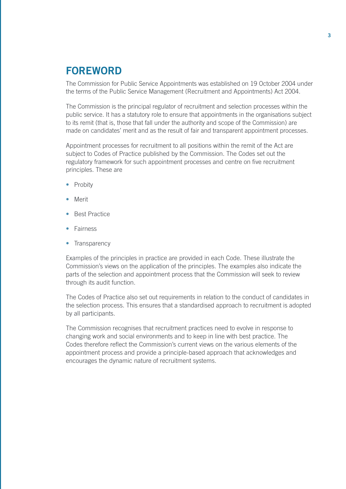# **FOREWORD**

The Commission for Public Service Appointments was established on 19 October 2004 under the terms of the Public Service Management (Recruitment and Appointments) Act 2004.

The Commission is the principal regulator of recruitment and selection processes within the public service. It has a statutory role to ensure that appointments in the organisations subject to its remit (that is, those that fall under the authority and scope of the Commission) are made on candidates' merit and as the result of fair and transparent appointment processes.

Appointment processes for recruitment to all positions within the remit of the Act are subject to Codes of Practice published by the Commission. The Codes set out the regulatory framework for such appointment processes and centre on five recruitment principles. These are

- Probity
- Merit
- Best Practice
- Fairness
- Transparency

Examples of the principles in practice are provided in each Code. These illustrate the Commission's views on the application of the principles. The examples also indicate the parts of the selection and appointment process that the Commission will seek to review through its audit function.

The Codes of Practice also set out requirements in relation to the conduct of candidates in the selection process. This ensures that a standardised approach to recruitment is adopted by all participants.

The Commission recognises that recruitment practices need to evolve in response to changing work and social environments and to keep in line with best practice. The Codes therefore reflect the Commission's current views on the various elements of the appointment process and provide a principle-based approach that acknowledges and encourages the dynamic nature of recruitment systems.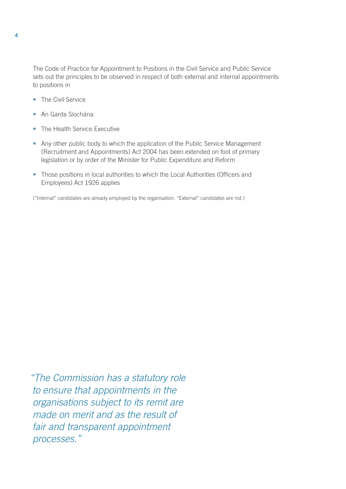The Code of Practice for Appointment to Positions in the Civil Service and Public Service sets out the principles to be observed in respect of both external and internal appointments to positions in

- The Civil Service
- An Garda Síochána
- The Health Service Executive
- Any other public body to which the application of the Public Service Management (Recruitment and Appointments) Act 2004 has been extended on foot of primary legislation or by order of the Minister for Public Expenditure and Reform
- Those positions in local authorities to which the Local Authorities (Officers and Employees) Act 1926 applies

("Internal" candidates are already employed by the organisation. "External" candidates are not.)

*"The Commission has a statutory role to ensure that appointments in the organisations subject to its remit are made on merit and as the result of fair and transparent appointment processes."*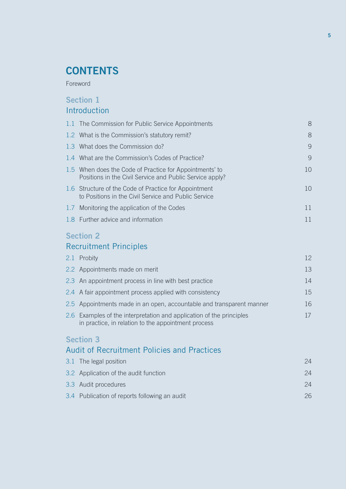# **CONTENTS**

Foreword

| <b>Section 1</b> |  |
|------------------|--|
| Introduction     |  |

| 1.1 The Commission for Public Service Appointments                                                                  | 8  |
|---------------------------------------------------------------------------------------------------------------------|----|
| 1.2 What is the Commission's statutory remit?                                                                       | 8  |
| 1.3 What does the Commission do?                                                                                    | 9  |
| 1.4 What are the Commission's Codes of Practice?                                                                    | 9  |
| 1.5 When does the Code of Practice for Appointments' to<br>Positions in the Civil Service and Public Service apply? | 10 |
| 1.6 Structure of the Code of Practice for Appointment<br>to Positions in the Civil Service and Public Service       | 10 |
| 1.7 Monitoring the application of the Codes                                                                         | 11 |
| 1.8 Further advice and information                                                                                  | 11 |

# **Section 2**

# Recruitment Principles

|                  | 2.1 Probity                                                                                                                 | 12 |
|------------------|-----------------------------------------------------------------------------------------------------------------------------|----|
|                  | 2.2 Appointments made on merit                                                                                              | 13 |
|                  | 2.3 An appointment process in line with best practice                                                                       | 14 |
|                  | 2.4 A fair appointment process applied with consistency                                                                     | 15 |
|                  | 2.5 Appointments made in an open, accountable and transparent manner                                                        | 16 |
|                  | 2.6 Examples of the interpretation and application of the principles<br>in practice, in relation to the appointment process | 17 |
| <b>Section 3</b> |                                                                                                                             |    |
|                  | <b>Audit of Recruitment Policies and Practices</b>                                                                          |    |
|                  | 3.1 The legal position                                                                                                      | 24 |
|                  |                                                                                                                             |    |

| 24                                                                                                             |
|----------------------------------------------------------------------------------------------------------------|
| 24                                                                                                             |
| 26                                                                                                             |
| 3.2 Application of the audit function<br>3.3 Audit procedures<br>3.4 Publication of reports following an audit |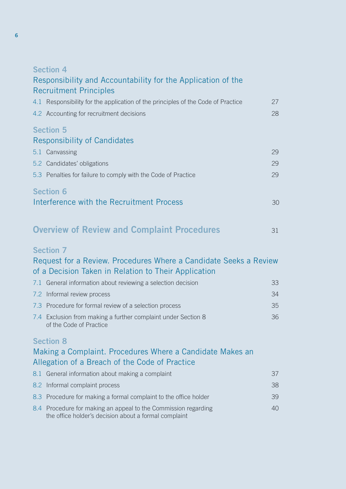#### **Section 4**

# Responsibility and Accountability for the Application of the Recruitment Principles

|                                                               | 4.1 Responsibility for the application of the principles of the Code of Practice | 27 |  |
|---------------------------------------------------------------|----------------------------------------------------------------------------------|----|--|
|                                                               | 4.2 Accounting for recruitment decisions                                         | 28 |  |
| <b>Section 5</b>                                              |                                                                                  |    |  |
|                                                               | <b>Responsibility of Candidates</b>                                              |    |  |
|                                                               | 5.1 Canvassing                                                                   | 29 |  |
|                                                               | 5.2 Candidates' obligations                                                      | 29 |  |
|                                                               | 5.3 Penalties for failure to comply with the Code of Practice                    | 29 |  |
| <b>Section 6</b><br>Interference with the Recruitment Process |                                                                                  | 30 |  |
|                                                               |                                                                                  |    |  |

# **Overview of Review and Complaint Procedures** 31

#### **Section 7**

## Request for a Review. Procedures Where a Candidate Seeks a Review of a Decision Taken in Relation to Their Application

| 7.1 General information about reviewing a selection decision                             | 33  |
|------------------------------------------------------------------------------------------|-----|
| 7.2 Informal review process                                                              | .34 |
| 7.3 Procedure for formal review of a selection process                                   | 35  |
| 7.4 Exclusion from making a further complaint under Section 8<br>of the Code of Practice | 36. |

## **Section 8**

## Making a Complaint. Procedures Where a Candidate Makes an Allegation of a Breach of the Code of Practice

| 8.1 General information about making a complaint                                                                        | 37 |
|-------------------------------------------------------------------------------------------------------------------------|----|
| 8.2 Informal complaint process                                                                                          | 38 |
| 8.3 Procedure for making a formal complaint to the office holder                                                        | 39 |
| 8.4 Procedure for making an appeal to the Commission regarding<br>the office holder's decision about a formal complaint | 40 |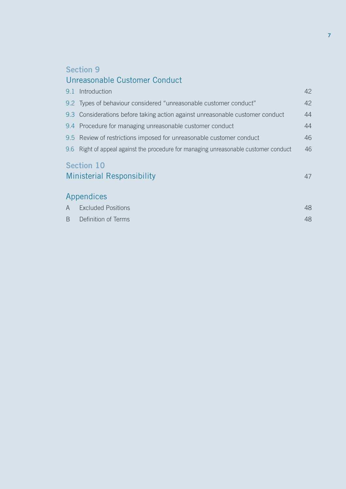## **Section 9**

# Unreasonable Customer Conduct

|                                   | 9.1 Introduction                                                                     | 42 |
|-----------------------------------|--------------------------------------------------------------------------------------|----|
|                                   | 9.2 Types of behaviour considered "unreasonable customer conduct"                    | 42 |
|                                   | 9.3 Considerations before taking action against unreasonable customer conduct        | 44 |
|                                   | 9.4 Procedure for managing unreasonable customer conduct                             | 44 |
|                                   | 9.5 Review of restrictions imposed for unreasonable customer conduct                 | 46 |
|                                   | 9.6 Right of appeal against the procedure for managing unreasonable customer conduct | 46 |
| <b>Section 10</b>                 |                                                                                      |    |
| <b>Ministerial Responsibility</b> |                                                                                      | 47 |
|                                   |                                                                                      |    |
|                                   | <b>Appendices</b>                                                                    |    |
| A                                 | <b>Excluded Positions</b>                                                            | 48 |
| B                                 | Definition of Terms                                                                  | 48 |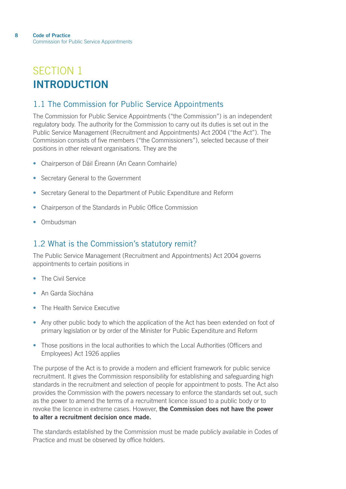# SECTION 1 **INTRODUCTION**

## 1.1 The Commission for Public Service Appointments

The Commission for Public Service Appointments ("the Commission") is an independent regulatory body. The authority for the Commission to carry out its duties is set out in the Public Service Management (Recruitment and Appointments) Act 2004 ("the Act"). The Commission consists of five members ("the Commissioners"), selected because of their positions in other relevant organisations. They are the

- Chairperson of Dáil Éireann (An Ceann Comhairle)
- Secretary General to the Government
- Secretary General to the Department of Public Expenditure and Reform
- Chairperson of the Standards in Public Office Commission
- Ombudsman

#### 1.2 What is the Commission's statutory remit?

The Public Service Management (Recruitment and Appointments) Act 2004 governs appointments to certain positions in

- The Civil Service
- An Garda Síochána
- The Health Service Executive
- Any other public body to which the application of the Act has been extended on foot of primary legislation or by order of the Minister for Public Expenditure and Reform
- Those positions in the local authorities to which the Local Authorities (Officers and Employees) Act 1926 applies

The purpose of the Act is to provide a modern and efficient framework for public service recruitment. It gives the Commission responsibility for establishing and safeguarding high standards in the recruitment and selection of people for appointment to posts. The Act also provides the Commission with the powers necessary to enforce the standards set out, such as the power to amend the terms of a recruitment licence issued to a public body or to revoke the licence in extreme cases. However, **the Commission does not have the power to alter a recruitment decision once made.**

The standards established by the Commission must be made publicly available in Codes of Practice and must be observed by office holders.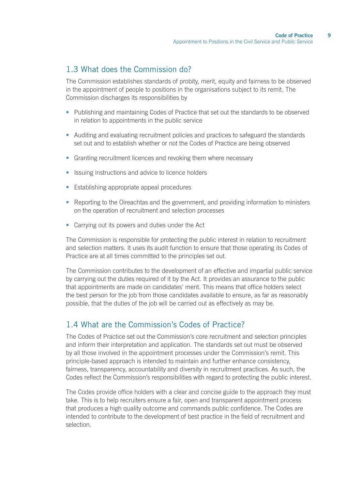#### 1.3 What does the Commission do?

The Commission establishes standards of probity, merit, equity and fairness to be observed in the appointment of people to positions in the organisations subject to its remit. The Commission discharges its responsibilities by

- Publishing and maintaining Codes of Practice that set out the standards to be observed in relation to appointments in the public service
- Auditing and evaluating recruitment policies and practices to safeguard the standards set out and to establish whether or not the Codes of Practice are being observed
- Granting recruitment licences and revoking them where necessary
- Issuing instructions and advice to licence holders
- Establishing appropriate appeal procedures
- Reporting to the Oireachtas and the government, and providing information to ministers on the operation of recruitment and selection processes
- Carrying out its powers and duties under the Act

The Commission is responsible for protecting the public interest in relation to recruitment and selection matters. It uses its audit function to ensure that those operating its Codes of Practice are at all times committed to the principles set out.

The Commission contributes to the development of an effective and impartial public service by carrying out the duties required of it by the Act. It provides an assurance to the public that appointments are made on candidates' merit. This means that office holders select the best person for the job from those candidates available to ensure, as far as reasonably possible, that the duties of the job will be carried out as effectively as may be.

#### 1.4 What are the Commission's Codes of Practice?

The Codes of Practice set out the Commission's core recruitment and selection principles and inform their interpretation and application. The standards set out must be observed by all those involved in the appointment processes under the Commission's remit. This principle-based approach is intended to maintain and further enhance consistency, fairness, transparency, accountability and diversity in recruitment practices. As such, the Codes reflect the Commission's responsibilities with regard to protecting the public interest.

The Codes provide office holders with a clear and concise guide to the approach they must take. This is to help recruiters ensure a fair, open and transparent appointment process that produces a high quality outcome and commands public confidence. The Codes are intended to contribute to the development of best practice in the field of recruitment and selection.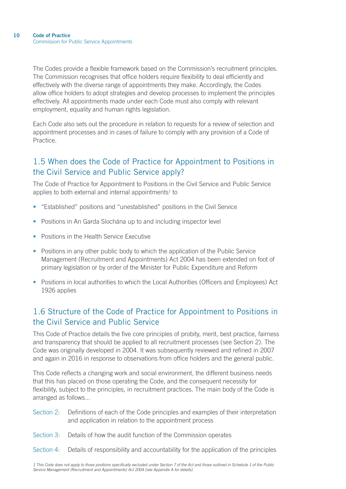The Codes provide a flexible framework based on the Commission's recruitment principles. The Commission recognises that office holders require flexibility to deal efficiently and effectively with the diverse range of appointments they make. Accordingly, the Codes allow office holders to adopt strategies and develop processes to implement the principles effectively. All appointments made under each Code must also comply with relevant employment, equality and human rights legislation.

Each Code also sets out the procedure in relation to requests for a review of selection and appointment processes and in cases of failure to comply with any provision of a Code of **Practice** 

#### 1.5 When does the Code of Practice for Appointment to Positions in the Civil Service and Public Service apply?

The Code of Practice for Appointment to Positions in the Civil Service and Public Service applies to both external and internal appointments<sup>1</sup> to

- "Established" positions and "unestablished" positions in the Civil Service
- Positions in An Garda Síochána up to and including inspector level
- Positions in the Health Service Executive
- Positions in any other public body to which the application of the Public Service Management (Recruitment and Appointments) Act 2004 has been extended on foot of primary legislation or by order of the Minister for Public Expenditure and Reform
- Positions in local authorities to which the Local Authorities (Officers and Employees) Act 1926 applies

#### 1.6 Structure of the Code of Practice for Appointment to Positions in the Civil Service and Public Service

This Code of Practice details the five core principles of probity, merit, best practice, fairness and transparency that should be applied to all recruitment processes (see Section 2). The Code was originally developed in 2004. It was subsequently reviewed and refined in 2007 and again in 2016 in response to observations from office holders and the general public.

This Code reflects a changing work and social environment, the different business needs that this has placed on those operating the Code, and the consequent necessity for flexibility, subject to the principles, in recruitment practices. The main body of the Code is arranged as follows...

- Section 2: Definitions of each of the Code principles and examples of their interpretation and application in relation to the appointment process
- Section 3: Details of how the audit function of the Commission operates
- Section 4: Details of responsibility and accountability for the application of the principles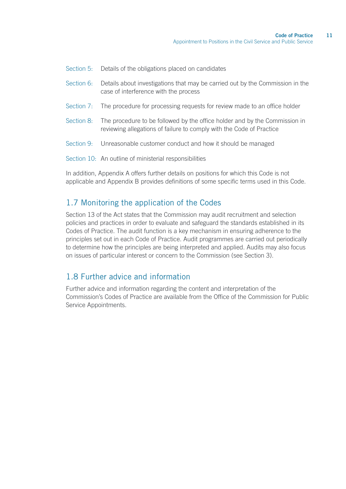- Section 5: Details of the obligations placed on candidates
- Section 6: Details about investigations that may be carried out by the Commission in the case of interference with the process
- Section 7: The procedure for processing requests for review made to an office holder
- Section 8: The procedure to be followed by the office holder and by the Commission in reviewing allegations of failure to comply with the Code of Practice
- Section 9: Unreasonable customer conduct and how it should be managed
- Section 10: An outline of ministerial responsibilities

In addition, Appendix A offers further details on positions for which this Code is not applicable and Appendix B provides definitions of some specific terms used in this Code.

#### 1.7 Monitoring the application of the Codes

Section 13 of the Act states that the Commission may audit recruitment and selection policies and practices in order to evaluate and safeguard the standards established in its Codes of Practice. The audit function is a key mechanism in ensuring adherence to the principles set out in each Code of Practice. Audit programmes are carried out periodically to determine how the principles are being interpreted and applied. Audits may also focus on issues of particular interest or concern to the Commission (see Section 3).

#### 1.8 Further advice and information

Further advice and information regarding the content and interpretation of the Commission's Codes of Practice are available from the Office of the Commission for Public Service Appointments.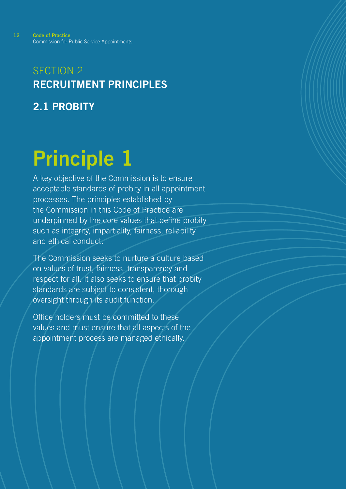# SECTION 2 **RECRUITMENT PRINCIPLES 2.1 PROBITY**

# **Principle 1**

A key objective of the Commission is to ensure acceptable standards of probity in all appointment processes. The principles established by the Commission in this Code of Practice are underpinned by the core values that define probity such as integrity, impartiality, fairness, reliability and ethical conduct.

The Commission seeks to nurture a culture based on values of trust, fairness, transparency and respect for all. It also seeks to ensure that probity standards are subject to consistent, thorough oversight through its audit function.

Office holders must be committed to these values and must ensure that all aspects of the appointment process are managed ethically.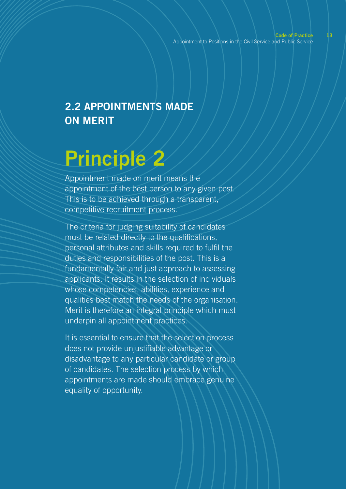# **2.2 APPOINTMENTS MADE ON MERIT**

# **Principle 2**

Appointment made on merit means the appointment of the best person to any given post. This is to be achieved through a transparent, competitive recruitment process.

The criteria for judging suitability of candidates must be related directly to the qualifications, personal attributes and skills required to fulfil the duties and responsibilities of the post. This is a fundamentally fair and just approach to assessing applicants. It results in the selection of individuals whose competencies, abilities, experience and qualities best match the needs of the organisation. Merit is therefore an integral principle which must underpin all appointment practices.

It is essential to ensure that the selection process does not provide unjustifiable advantage or disadvantage to any particular candidate or group of candidates. The selection process by which appointments are made should embrace genuine equality of opportunity.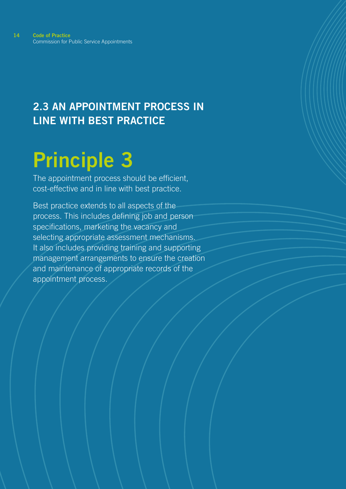# **2.3 AN APPOINTMENT PROCESS IN LINE WITH BEST PRACTICE**

# **Principle 3**

The appointment process should be efficient, cost-effective and in line with best practice.

Best practice extends to all aspects of the process. This includes defining job and person specifications, marketing the vacancy and selecting appropriate assessment mechanisms. It also includes providing training and supporting management arrangements to ensure the creation and maintenance of appropriate records of the appointment process.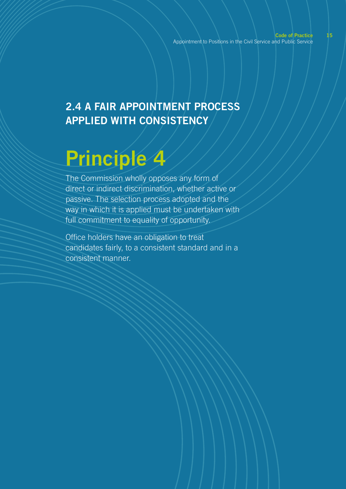# **2.4 A FAIR APPOINTMENT PROCESS APPLIED WITH CONSISTENCY**

# **Principle 4**

The Commission wholly opposes any form of direct or indirect discrimination, whether active or passive. The selection process adopted and the way in which it is applied must be undertaken with full commitment to equality of opportunity.

Office holders have an obligation to treat candidates fairly, to a consistent standard and in a consistent manner.

**15**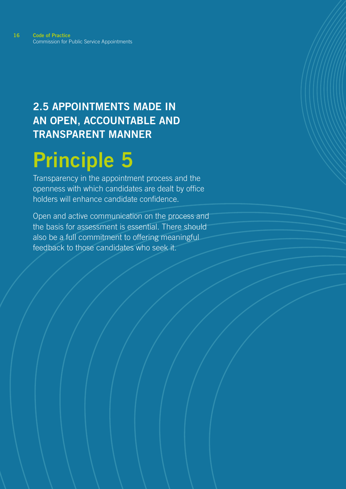# **2.5 APPOINTMENTS MADE IN AN OPEN, ACCOUNTABLE AND TRANSPARENT MANNER**

# **Principle 5**

Transparency in the appointment process and the openness with which candidates are dealt by office holders will enhance candidate confidence.

Open and active communication on the process and the basis for assessment is essential. There should also be a full commitment to offering meaningful feedback to those candidates who seek it.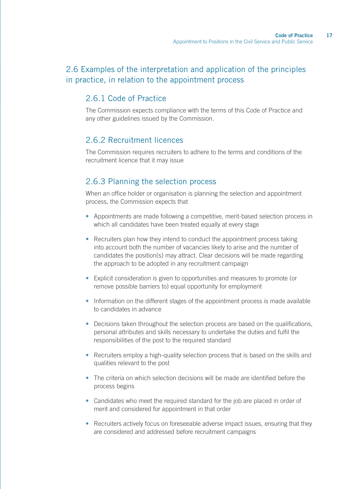#### 2.6 Examples of the interpretation and application of the principles in practice, in relation to the appointment process

#### 2.6.1 Code of Practice

The Commission expects compliance with the terms of this Code of Practice and any other guidelines issued by the Commission.

#### 2.6.2 Recruitment licences

The Commission requires recruiters to adhere to the terms and conditions of the recruitment licence that it may issue

#### 2.6.3 Planning the selection process

When an office holder or organisation is planning the selection and appointment process, the Commission expects that

- Appointments are made following a competitive, merit-based selection process in which all candidates have been treated equally at every stage
- Recruiters plan how they intend to conduct the appointment process taking into account both the number of vacancies likely to arise and the number of candidates the position(s) may attract. Clear decisions will be made regarding the approach to be adopted in any recruitment campaign
- Explicit consideration is given to opportunities and measures to promote (or remove possible barriers to) equal opportunity for employment
- Information on the different stages of the appointment process is made available to candidates in advance
- Decisions taken throughout the selection process are based on the qualifications, personal attributes and skills necessary to undertake the duties and fulfil the responsibilities of the post to the required standard
- Recruiters employ a high-quality selection process that is based on the skills and qualities relevant to the post
- The criteria on which selection decisions will be made are identified before the process begins
- Candidates who meet the required standard for the job are placed in order of merit and considered for appointment in that order
- Recruiters actively focus on foreseeable adverse impact issues, ensuring that they are considered and addressed before recruitment campaigns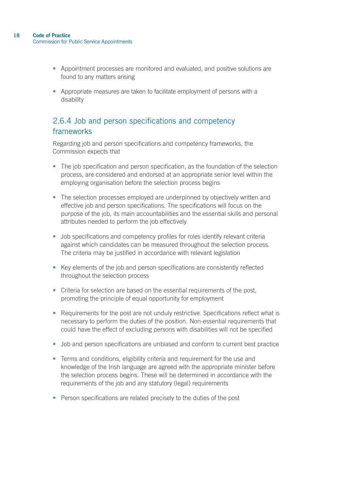- Appointment processes are monitored and evaluated, and positive solutions are found to any matters arising
- Appropriate measures are taken to facilitate employment of persons with a disability

#### 2.6.4 Job and person specifications and competency frameworks

Regarding job and person specifications and competency frameworks, the Commission expects that

- The job specification and person specification, as the foundation of the selection process, are considered and endorsed at an appropriate senior level within the employing organisation before the selection process begins
- The selection processes employed are underpinned by objectively written and effective job and person specifications. The specifications will focus on the purpose of the job, its main accountabilities and the essential skills and personal attributes needed to perform the job effectively
- Job specifications and competency profiles for roles identify relevant criteria against which candidates can be measured throughout the selection process. The criteria may be justified in accordance with relevant legislation
- Key elements of the job and person specifications are consistently reflected throughout the selection process
- Criteria for selection are based on the essential requirements of the post, promoting the principle of equal opportunity for employment
- Requirements for the post are not unduly restrictive. Specifications reflect what is necessary to perform the duties of the position. Non-essential requirements that could have the effect of excluding persons with disabilities will not be specified
- Job and person specifications are unbiased and conform to current best practice
- Terms and conditions, eligibility criteria and requirement for the use and knowledge of the Irish language are agreed with the appropriate minister before the selection process begins. These will be determined in accordance with the requirements of the job and any statutory (legal) requirements
- Person specifications are related precisely to the duties of the post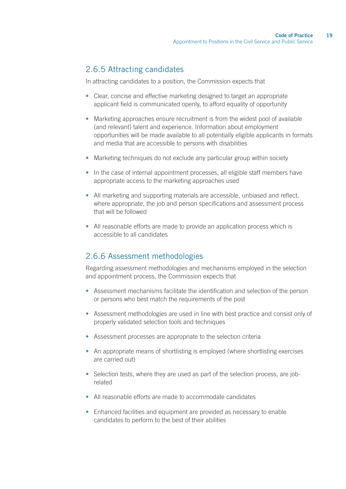#### 2.6.5 Attracting candidates

In attracting candidates to a position, the Commission expects that

- Clear, concise and effective marketing designed to target an appropriate applicant field is communicated openly, to afford equality of opportunity
- Marketing approaches ensure recruitment is from the widest pool of available (and relevant) talent and experience. Information about employment opportunities will be made available to all potentially eligible applicants in formats and media that are accessible to persons with disabilities
- Marketing techniques do not exclude any particular group within society
- In the case of internal appointment processes, all eligible staff members have appropriate access to the marketing approaches used
- All marketing and supporting materials are accessible, unbiased and reflect, where appropriate, the job and person specifications and assessment process that will be followed
- All reasonable efforts are made to provide an application process which is accessible to all candidates

#### 2.6.6 Assessment methodologies

Regarding assessment methodologies and mechanisms employed in the selection and appointment process, the Commission expects that

- Assessment mechanisms facilitate the identification and selection of the person or persons who best match the requirements of the post
- Assessment methodologies are used in line with best practice and consist only of properly validated selection tools and techniques
- Assessment processes are appropriate to the selection criteria
- An appropriate means of shortlisting is employed (where shortlisting exercises are carried out)
- Selection tests, where they are used as part of the selection process, are jobrelated
- All reasonable efforts are made to accommodate candidates
- Enhanced facilities and equipment are provided as necessary to enable candidates to perform to the best of their abilities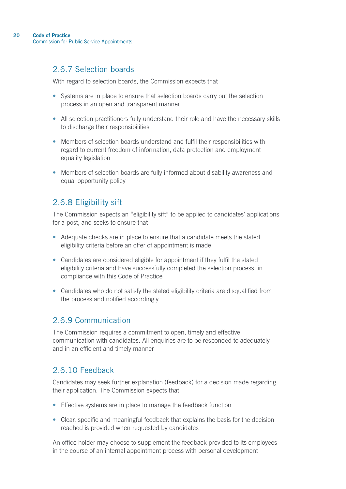#### 2.6.7 Selection boards

With regard to selection boards, the Commission expects that

- Systems are in place to ensure that selection boards carry out the selection process in an open and transparent manner
- All selection practitioners fully understand their role and have the necessary skills to discharge their responsibilities
- Members of selection boards understand and fulfil their responsibilities with regard to current freedom of information, data protection and employment equality legislation
- Members of selection boards are fully informed about disability awareness and equal opportunity policy

#### 2.6.8 Eligibility sift

The Commission expects an "eligibility sift" to be applied to candidates' applications for a post, and seeks to ensure that

- Adequate checks are in place to ensure that a candidate meets the stated eligibility criteria before an offer of appointment is made
- Candidates are considered eligible for appointment if they fulfil the stated eligibility criteria and have successfully completed the selection process, in compliance with this Code of Practice
- Candidates who do not satisfy the stated eligibility criteria are disqualified from the process and notified accordingly

#### 2.6.9 Communication

The Commission requires a commitment to open, timely and effective communication with candidates. All enquiries are to be responded to adequately and in an efficient and timely manner

## 2.6.10 Feedback

Candidates may seek further explanation (feedback) for a decision made regarding their application. The Commission expects that

- Effective systems are in place to manage the feedback function
- Clear, specific and meaningful feedback that explains the basis for the decision reached is provided when requested by candidates

An office holder may choose to supplement the feedback provided to its employees in the course of an internal appointment process with personal development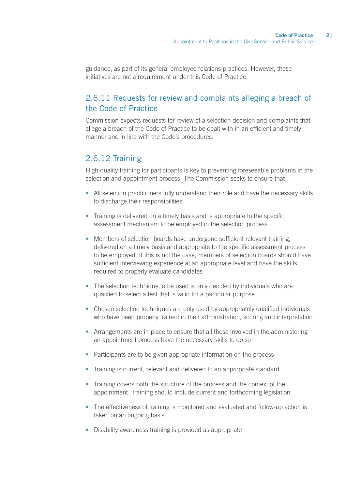guidance, as part of its general employee relations practices. However, these initiatives are not a requirement under this Code of Practice.

#### 2.6.11 Requests for review and complaints alleging a breach of the Code of Practice

Commission expects requests for review of a selection decision and complaints that allege a breach of the Code of Practice to be dealt with in an efficient and timely manner and in line with the Code's procedures.

#### 2.6.12 Training

High quality training for participants is key to preventing foreseeable problems in the selection and appointment process. The Commission seeks to ensure that

- All selection practitioners fully understand their role and have the necessary skills to discharge their responsibilities
- Training is delivered on a timely basis and is appropriate to the specific assessment mechanism to be employed in the selection process
- Members of selection boards have undergone sufficient relevant training, delivered on a timely basis and appropriate to the specific assessment process to be employed. If this is not the case, members of selection boards should have sufficient interviewing experience at an appropriate level and have the skills required to properly evaluate candidates
- The selection technique to be used is only decided by individuals who are qualified to select a test that is valid for a particular purpose
- Chosen selection techniques are only used by appropriately qualified individuals who have been properly trained in their administration, scoring and interpretation
- Arrangements are in place to ensure that all those involved in the administering an appointment process have the necessary skills to do so
- Participants are to be given appropriate information on the process
- Training is current, relevant and delivered to an appropriate standard
- Training covers both the structure of the process and the context of the appointment. Training should include current and forthcoming legislation
- The effectiveness of training is monitored and evaluated and follow-up action is taken on an ongoing basis
- Disability awareness training is provided as appropriate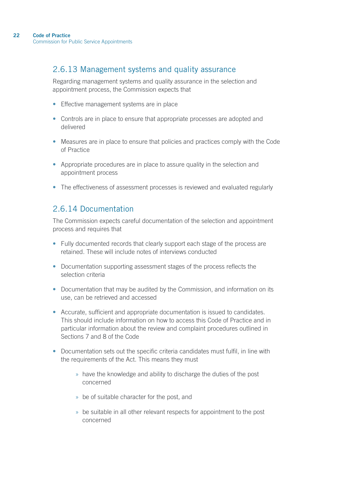#### 2.6.13 Management systems and quality assurance

Regarding management systems and quality assurance in the selection and appointment process, the Commission expects that

- Effective management systems are in place
- Controls are in place to ensure that appropriate processes are adopted and delivered
- Measures are in place to ensure that policies and practices comply with the Code of Practice
- Appropriate procedures are in place to assure quality in the selection and appointment process
- The effectiveness of assessment processes is reviewed and evaluated regularly

#### 2.6.14 Documentation

The Commission expects careful documentation of the selection and appointment process and requires that

- Fully documented records that clearly support each stage of the process are retained. These will include notes of interviews conducted
- Documentation supporting assessment stages of the process reflects the selection criteria
- Documentation that may be audited by the Commission, and information on its use, can be retrieved and accessed
- Accurate, sufficient and appropriate documentation is issued to candidates. This should include information on how to access this Code of Practice and in particular information about the review and complaint procedures outlined in Sections 7 and 8 of the Code
- Documentation sets out the specific criteria candidates must fulfil, in line with the requirements of the Act. This means they must
	- » have the knowledge and ability to discharge the duties of the post concerned
	- » be of suitable character for the post, and
	- » be suitable in all other relevant respects for appointment to the post concerned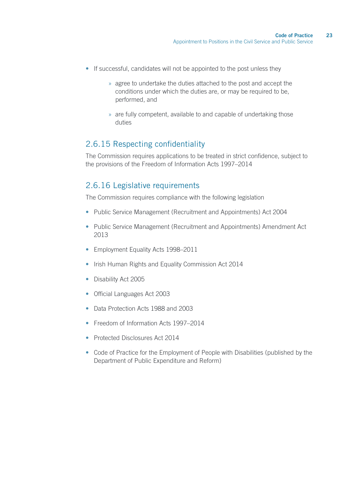- If successful, candidates will not be appointed to the post unless they
	- » agree to undertake the duties attached to the post and accept the conditions under which the duties are, or may be required to be, performed, and
	- » are fully competent, available to and capable of undertaking those duties

#### 2.6.15 Respecting confidentiality

The Commission requires applications to be treated in strict confidence, subject to the provisions of the Freedom of Information Acts 1997–2014

#### 2.6.16 Legislative requirements

The Commission requires compliance with the following legislation

- Public Service Management (Recruitment and Appointments) Act 2004
- Public Service Management (Recruitment and Appointments) Amendment Act 2013
- Employment Equality Acts 1998–2011
- Irish Human Rights and Equality Commission Act 2014
- Disability Act 2005
- Official Languages Act 2003
- Data Protection Acts 1988 and 2003
- Freedom of Information Acts 1997–2014
- Protected Disclosures Act 2014
- Code of Practice for the Employment of People with Disabilities (published by the Department of Public Expenditure and Reform)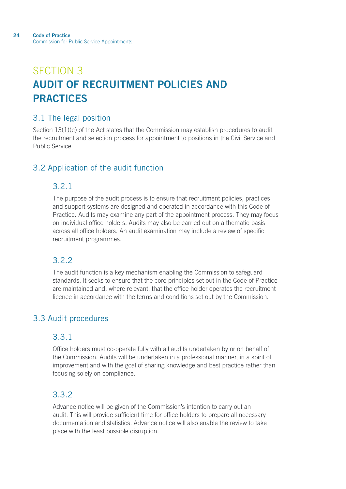# SECTION 3 **AUDIT OF RECRUITMENT POLICIES AND PRACTICES**

# 3.1 The legal position

Section 13(1)(c) of the Act states that the Commission may establish procedures to audit the recruitment and selection process for appointment to positions in the Civil Service and Public Service.

## 3.2 Application of the audit function

#### 3.2.1

The purpose of the audit process is to ensure that recruitment policies, practices and support systems are designed and operated in accordance with this Code of Practice. Audits may examine any part of the appointment process. They may focus on individual office holders. Audits may also be carried out on a thematic basis across all office holders. An audit examination may include a review of specific recruitment programmes.

#### 3.2.2

The audit function is a key mechanism enabling the Commission to safeguard standards. It seeks to ensure that the core principles set out in the Code of Practice are maintained and, where relevant, that the office holder operates the recruitment licence in accordance with the terms and conditions set out by the Commission.

## 3.3 Audit procedures

## 3.3.1

Office holders must co-operate fully with all audits undertaken by or on behalf of the Commission. Audits will be undertaken in a professional manner, in a spirit of improvement and with the goal of sharing knowledge and best practice rather than focusing solely on compliance.

## 3.3.2

Advance notice will be given of the Commission's intention to carry out an audit. This will provide sufficient time for office holders to prepare all necessary documentation and statistics. Advance notice will also enable the review to take place with the least possible disruption.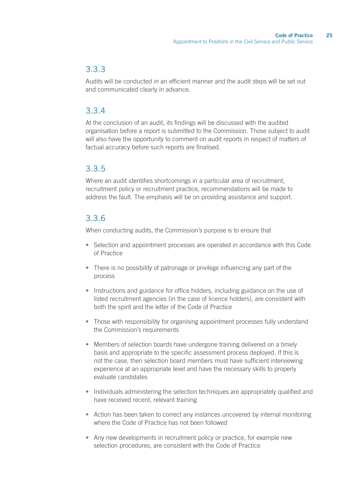## 3.3.3

Audits will be conducted in an efficient manner and the audit steps will be set out and communicated clearly in advance.

#### 3.3.4

At the conclusion of an audit, its findings will be discussed with the audited organisation before a report is submitted to the Commission. Those subject to audit will also have the opportunity to comment on audit reports in respect of matters of factual accuracy before such reports are finalised.

#### 3.3.5

Where an audit identifies shortcomings in a particular area of recruitment, recruitment policy or recruitment practice, recommendations will be made to address the fault. The emphasis will be on providing assistance and support.

## 3.3.6

When conducting audits, the Commission's purpose is to ensure that

- Selection and appointment processes are operated in accordance with this Code of Practice
- There is no possibility of patronage or privilege influencing any part of the process
- Instructions and guidance for office holders, including guidance on the use of listed recruitment agencies (in the case of licence holders), are consistent with both the spirit and the letter of the Code of Practice
- Those with responsibility for organising appointment processes fully understand the Commission's requirements
- Members of selection boards have undergone training delivered on a timely basis and appropriate to the specific assessment process deployed. If this is not the case, then selection board members must have sufficient interviewing experience at an appropriate level and have the necessary skills to properly evaluate candidates
- Individuals administering the selection techniques are appropriately qualified and have received recent, relevant training
- Action has been taken to correct any instances uncovered by internal monitoring where the Code of Practice has not been followed
- Any new developments in recruitment policy or practice, for example new selection procedures, are consistent with the Code of Practice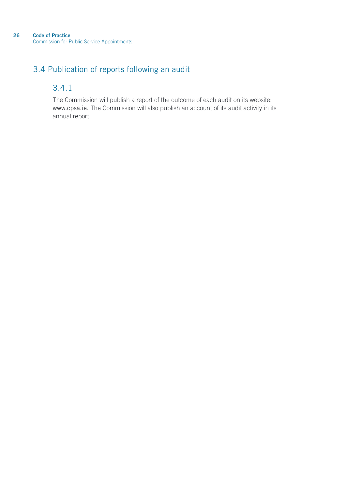# 3.4 Publication of reports following an audit

# 3.4.1

The Commission will publish a report of the outcome of each audit on its website: www.cpsa.ie. The Commission will also publish an account of its audit activity in its annual report.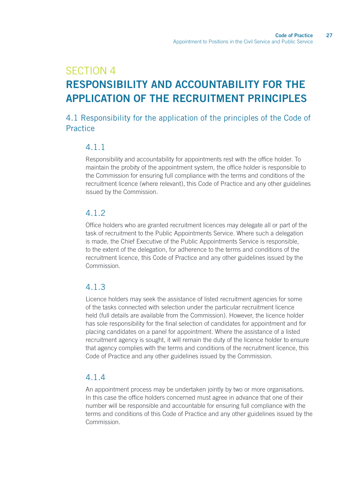# SECTION 4 **RESPONSIBILITY AND ACCOUNTABILITY FOR THE APPLICATION OF THE RECRUITMENT PRINCIPLES**

# 4.1 Responsibility for the application of the principles of the Code of **Practice**

#### 4.1.1

Responsibility and accountability for appointments rest with the office holder. To maintain the probity of the appointment system, the office holder is responsible to the Commission for ensuring full compliance with the terms and conditions of the recruitment licence (where relevant), this Code of Practice and any other guidelines issued by the Commission.

#### 4.1.2

Office holders who are granted recruitment licences may delegate all or part of the task of recruitment to the Public Appointments Service. Where such a delegation is made, the Chief Executive of the Public Appointments Service is responsible, to the extent of the delegation, for adherence to the terms and conditions of the recruitment licence, this Code of Practice and any other guidelines issued by the Commission.

## 4.1.3

Licence holders may seek the assistance of listed recruitment agencies for some of the tasks connected with selection under the particular recruitment licence held (full details are available from the Commission). However, the licence holder has sole responsibility for the final selection of candidates for appointment and for placing candidates on a panel for appointment. Where the assistance of a listed recruitment agency is sought, it will remain the duty of the licence holder to ensure that agency complies with the terms and conditions of the recruitment licence, this Code of Practice and any other guidelines issued by the Commission.

## 4.1.4

An appointment process may be undertaken jointly by two or more organisations. In this case the office holders concerned must agree in advance that one of their number will be responsible and accountable for ensuring full compliance with the terms and conditions of this Code of Practice and any other guidelines issued by the Commission.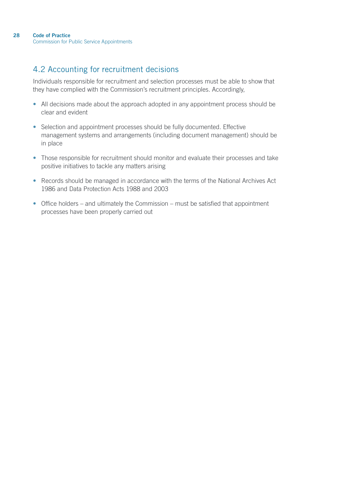## 4.2 Accounting for recruitment decisions

Individuals responsible for recruitment and selection processes must be able to show that they have complied with the Commission's recruitment principles. Accordingly,

- All decisions made about the approach adopted in any appointment process should be clear and evident
- Selection and appointment processes should be fully documented. Effective management systems and arrangements (including document management) should be in place
- Those responsible for recruitment should monitor and evaluate their processes and take positive initiatives to tackle any matters arising
- Records should be managed in accordance with the terms of the National Archives Act 1986 and Data Protection Acts 1988 and 2003
- Office holders and ultimately the Commission must be satisfied that appointment processes have been properly carried out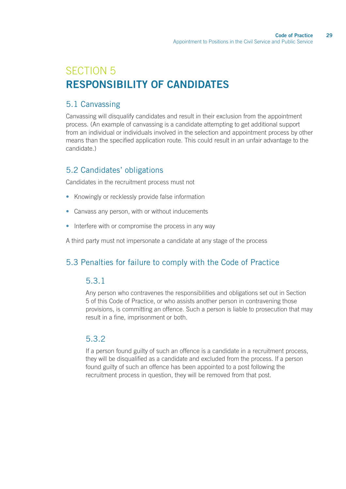# SECTION 5 **RESPONSIBILITY OF CANDIDATES**

#### 5.1 Canvassing

Canvassing will disqualify candidates and result in their exclusion from the appointment process. (An example of canvassing is a candidate attempting to get additional support from an individual or individuals involved in the selection and appointment process by other means than the specified application route. This could result in an unfair advantage to the candidate.)

#### 5.2 Candidates' obligations

Candidates in the recruitment process must not

- Knowingly or recklessly provide false information
- Canvass any person, with or without inducements
- Interfere with or compromise the process in any way

A third party must not impersonate a candidate at any stage of the process

# 5.3 Penalties for failure to comply with the Code of Practice

#### 5.3.1

Any person who contravenes the responsibilities and obligations set out in Section 5 of this Code of Practice, or who assists another person in contravening those provisions, is committing an offence. Such a person is liable to prosecution that may result in a fine, imprisonment or both.

## 5.3.2

If a person found guilty of such an offence is a candidate in a recruitment process, they will be disqualified as a candidate and excluded from the process. If a person found guilty of such an offence has been appointed to a post following the recruitment process in question, they will be removed from that post.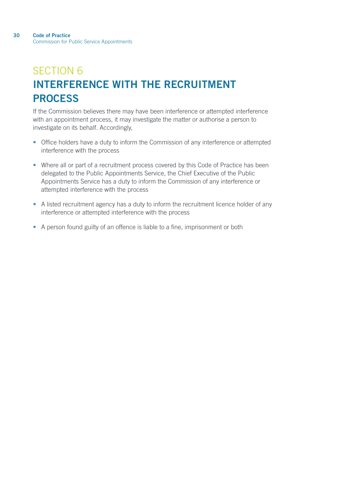# SECTION 6 **INTERFERENCE WITH THE RECRUITMENT PROCESS**

If the Commission believes there may have been interference or attempted interference with an appointment process, it may investigate the matter or authorise a person to investigate on its behalf. Accordingly,

- Office holders have a duty to inform the Commission of any interference or attempted interference with the process
- Where all or part of a recruitment process covered by this Code of Practice has been delegated to the Public Appointments Service, the Chief Executive of the Public Appointments Service has a duty to inform the Commission of any interference or attempted interference with the process
- A listed recruitment agency has a duty to inform the recruitment licence holder of any interference or attempted interference with the process
- A person found guilty of an offence is liable to a fine, imprisonment or both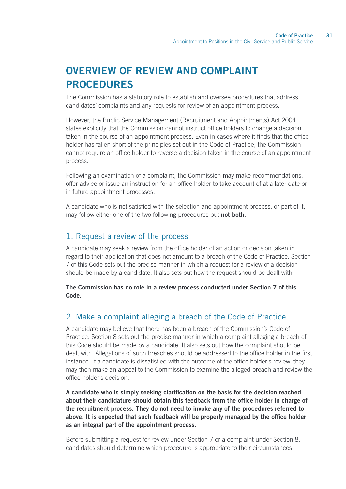# **OVERVIEW OF REVIEW AND COMPLAINT PROCEDURES**

The Commission has a statutory role to establish and oversee procedures that address candidates' complaints and any requests for review of an appointment process.

However, the Public Service Management (Recruitment and Appointments) Act 2004 states explicitly that the Commission cannot instruct office holders to change a decision taken in the course of an appointment process. Even in cases where it finds that the office holder has fallen short of the principles set out in the Code of Practice, the Commission cannot require an office holder to reverse a decision taken in the course of an appointment process.

Following an examination of a complaint, the Commission may make recommendations, offer advice or issue an instruction for an office holder to take account of at a later date or in future appointment processes.

A candidate who is not satisfied with the selection and appointment process, or part of it, may follow either one of the two following procedures but **not both**.

#### 1. Request a review of the process

A candidate may seek a review from the office holder of an action or decision taken in regard to their application that does not amount to a breach of the Code of Practice. Section 7 of this Code sets out the precise manner in which a request for a review of a decision should be made by a candidate. It also sets out how the request should be dealt with.

**The Commission has no role in a review process conducted under Section 7 of this Code.**

#### 2. Make a complaint alleging a breach of the Code of Practice

A candidate may believe that there has been a breach of the Commission's Code of Practice. Section 8 sets out the precise manner in which a complaint alleging a breach of this Code should be made by a candidate. It also sets out how the complaint should be dealt with. Allegations of such breaches should be addressed to the office holder in the first instance. If a candidate is dissatisfied with the outcome of the office holder's review, they may then make an appeal to the Commission to examine the alleged breach and review the office holder's decision.

**A candidate who is simply seeking clarification on the basis for the decision reached about their candidature should obtain this feedback from the office holder in charge of the recruitment process. They do not need to invoke any of the procedures referred to above. It is expected that such feedback will be properly managed by the office holder as an integral part of the appointment process.**

Before submitting a request for review under Section 7 or a complaint under Section 8, candidates should determine which procedure is appropriate to their circumstances.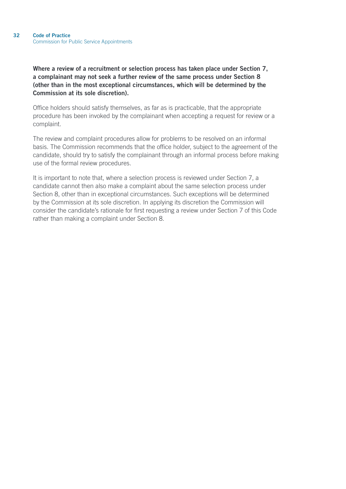**Where a review of a recruitment or selection process has taken place under Section 7, a complainant may not seek a further review of the same process under Section 8 (other than in the most exceptional circumstances, which will be determined by the Commission at its sole discretion).**

Office holders should satisfy themselves, as far as is practicable, that the appropriate procedure has been invoked by the complainant when accepting a request for review or a complaint.

The review and complaint procedures allow for problems to be resolved on an informal basis. The Commission recommends that the office holder, subject to the agreement of the candidate, should try to satisfy the complainant through an informal process before making use of the formal review procedures.

It is important to note that, where a selection process is reviewed under Section 7, a candidate cannot then also make a complaint about the same selection process under Section 8, other than in exceptional circumstances. Such exceptions will be determined by the Commission at its sole discretion. In applying its discretion the Commission will consider the candidate's rationale for first requesting a review under Section 7 of this Code rather than making a complaint under Section 8.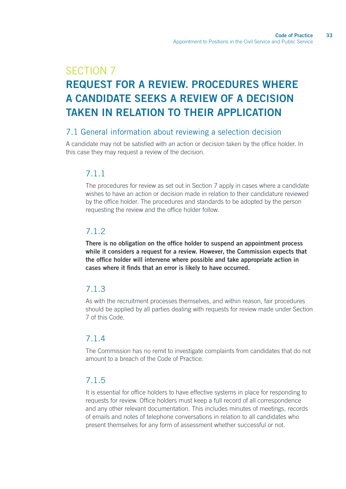# SECTION 7 **REQUEST FOR A REVIEW. PROCEDURES WHERE A CANDIDATE SEEKS A REVIEW OF A DECISION TAKEN IN RELATION TO THEIR APPLICATION**

#### 7.1 General information about reviewing a selection decision

A candidate may not be satisfied with an action or decision taken by the office holder. In this case they may request a review of the decision.

# 7.1.1

The procedures for review as set out in Section 7 apply in cases where a candidate wishes to have an action or decision made in relation to their candidature reviewed by the office holder. The procedures and standards to be adopted by the person requesting the review and the office holder follow.

# 7.1.2

**There is no obligation on the office holder to suspend an appointment process while it considers a request for a review. However, the Commission expects that the office holder will intervene where possible and take appropriate action in cases where it finds that an error is likely to have occurred.**

# 7.1.3

As with the recruitment processes themselves, and within reason, fair procedures should be applied by all parties dealing with requests for review made under Section 7 of this Code.

# 7.1.4

The Commission has no remit to investigate complaints from candidates that do not amount to a breach of the Code of Practice.

# 7.1.5

It is essential for office holders to have effective systems in place for responding to requests for review. Office holders must keep a full record of all correspondence and any other relevant documentation. This includes minutes of meetings, records of emails and notes of telephone conversations in relation to all candidates who present themselves for any form of assessment whether successful or not.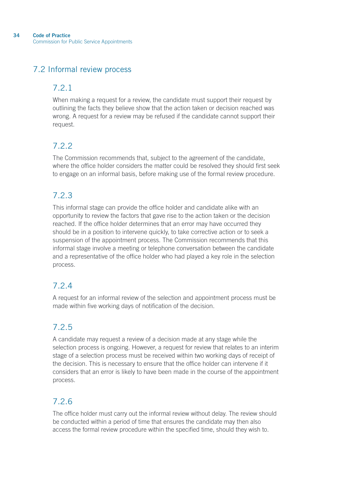#### 7.2 Informal review process

# 7.2.1

When making a request for a review, the candidate must support their request by outlining the facts they believe show that the action taken or decision reached was wrong. A request for a review may be refused if the candidate cannot support their request.

# 7.2.2

The Commission recommends that, subject to the agreement of the candidate, where the office holder considers the matter could be resolved they should first seek to engage on an informal basis, before making use of the formal review procedure.

# 7.2.3

This informal stage can provide the office holder and candidate alike with an opportunity to review the factors that gave rise to the action taken or the decision reached. If the office holder determines that an error may have occurred they should be in a position to intervene quickly, to take corrective action or to seek a suspension of the appointment process. The Commission recommends that this informal stage involve a meeting or telephone conversation between the candidate and a representative of the office holder who had played a key role in the selection process.

# 7.2.4

A request for an informal review of the selection and appointment process must be made within five working days of notification of the decision.

# 7.2.5

A candidate may request a review of a decision made at any stage while the selection process is ongoing. However, a request for review that relates to an interim stage of a selection process must be received within two working days of receipt of the decision. This is necessary to ensure that the office holder can intervene if it considers that an error is likely to have been made in the course of the appointment process.

# 7.2.6

The office holder must carry out the informal review without delay. The review should be conducted within a period of time that ensures the candidate may then also access the formal review procedure within the specified time, should they wish to.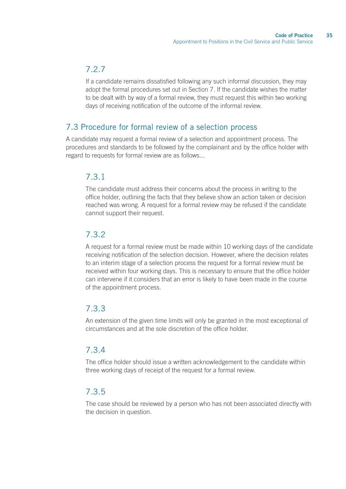## 7.2.7

If a candidate remains dissatisfied following any such informal discussion, they may adopt the formal procedures set out in Section 7. If the candidate wishes the matter to be dealt with by way of a formal review, they must request this within two working days of receiving notification of the outcome of the informal review.

# 7.3 Procedure for formal review of a selection process

A candidate may request a formal review of a selection and appointment process. The procedures and standards to be followed by the complainant and by the office holder with regard to requests for formal review are as follows...

# 7.3.1

The candidate must address their concerns about the process in writing to the office holder, outlining the facts that they believe show an action taken or decision reached was wrong. A request for a formal review may be refused if the candidate cannot support their request.

# 7.3.2

A request for a formal review must be made within 10 working days of the candidate receiving notification of the selection decision. However, where the decision relates to an interim stage of a selection process the request for a formal review must be received within four working days. This is necessary to ensure that the office holder can intervene if it considers that an error is likely to have been made in the course of the appointment process.

# 7.3.3

An extension of the given time limits will only be granted in the most exceptional of circumstances and at the sole discretion of the office holder.

# 7.3.4

The office holder should issue a written acknowledgement to the candidate within three working days of receipt of the request for a formal review.

# 7.3.5

The case should be reviewed by a person who has not been associated directly with the decision in question.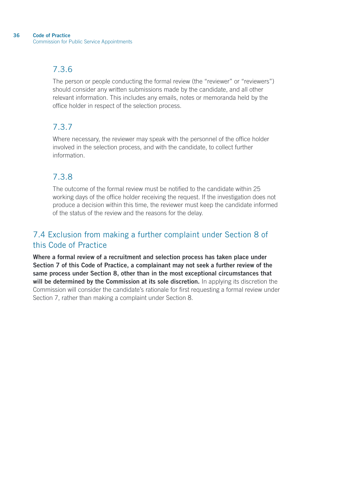# 7.3.6

The person or people conducting the formal review (the "reviewer" or "reviewers") should consider any written submissions made by the candidate, and all other relevant information. This includes any emails, notes or memoranda held by the office holder in respect of the selection process.

# 7.3.7

Where necessary, the reviewer may speak with the personnel of the office holder involved in the selection process, and with the candidate, to collect further information.

# 7.3.8

The outcome of the formal review must be notified to the candidate within 25 working days of the office holder receiving the request. If the investigation does not produce a decision within this time, the reviewer must keep the candidate informed of the status of the review and the reasons for the delay.

# 7.4 Exclusion from making a further complaint under Section 8 of this Code of Practice

**Where a formal review of a recruitment and selection process has taken place under Section 7 of this Code of Practice, a complainant may not seek a further review of the same process under Section 8, other than in the most exceptional circumstances that will be determined by the Commission at its sole discretion.** In applying its discretion the Commission will consider the candidate's rationale for first requesting a formal review under Section 7, rather than making a complaint under Section 8.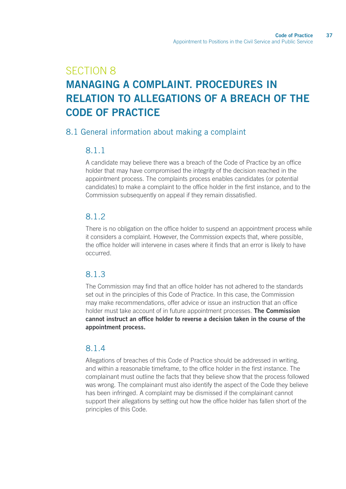# SECTION 8

# **MANAGING A COMPLAINT. PROCEDURES IN RELATION TO ALLEGATIONS OF A BREACH OF THE CODE OF PRACTICE**

#### 8.1 General information about making a complaint

#### 8.1.1

A candidate may believe there was a breach of the Code of Practice by an office holder that may have compromised the integrity of the decision reached in the appointment process. The complaints process enables candidates (or potential candidates) to make a complaint to the office holder in the first instance, and to the Commission subsequently on appeal if they remain dissatisfied.

# 8.1.2

There is no obligation on the office holder to suspend an appointment process while it considers a complaint. However, the Commission expects that, where possible, the office holder will intervene in cases where it finds that an error is likely to have occurred.

# 8.1.3

The Commission may find that an office holder has not adhered to the standards set out in the principles of this Code of Practice. In this case, the Commission may make recommendations, offer advice or issue an instruction that an office holder must take account of in future appointment processes. **The Commission cannot instruct an office holder to reverse a decision taken in the course of the appointment process.**

## 8.1.4

Allegations of breaches of this Code of Practice should be addressed in writing, and within a reasonable timeframe, to the office holder in the first instance. The complainant must outline the facts that they believe show that the process followed was wrong. The complainant must also identify the aspect of the Code they believe has been infringed. A complaint may be dismissed if the complainant cannot support their allegations by setting out how the office holder has fallen short of the principles of this Code.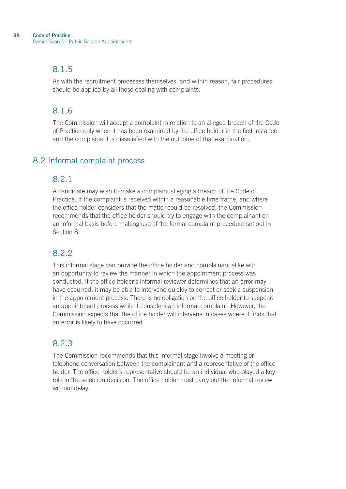# 8.1.5

As with the recruitment processes themselves, and within reason, fair procedures should be applied by all those dealing with complaints.

# 8.1.6

The Commission will accept a complaint in relation to an alleged breach of the Code of Practice only when it has been examined by the office holder in the first instance and the complainant is dissatisfied with the outcome of that examination.

# 8.2 Informal complaint process

#### 8.2.1

A candidate may wish to make a complaint alleging a breach of the Code of Practice. If the complaint is received within a reasonable time frame, and where the office holder considers that the matter could be resolved, the Commission recommends that the office holder should try to engage with the complainant on an informal basis before making use of the formal complaint procedure set out in Section 8.

# 8.2.2

This informal stage can provide the office holder and complainant alike with an opportunity to review the manner in which the appointment process was conducted. If the office holder's informal reviewer determines that an error may have occurred, it may be able to intervene quickly to correct or seek a suspension in the appointment process. There is no obligation on the office holder to suspend an appointment process while it considers an informal complaint. However, the Commission expects that the office holder will intervene in cases where it finds that an error is likely to have occurred.

# 8.2.3

The Commission recommends that this informal stage involve a meeting or telephone conversation between the complainant and a representative of the office holder. The office holder's representative should be an individual who played a key role in the selection decision. The office holder must carry out the informal review without delay.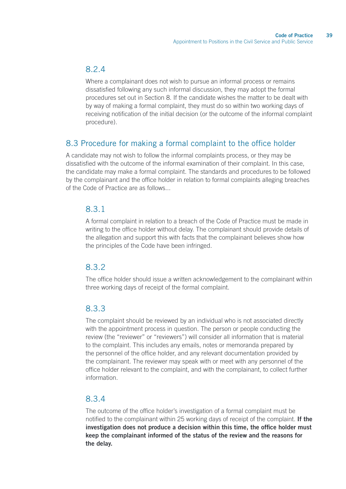#### 8.2.4

Where a complainant does not wish to pursue an informal process or remains dissatisfied following any such informal discussion, they may adopt the formal procedures set out in Section 8. If the candidate wishes the matter to be dealt with by way of making a formal complaint, they must do so within two working days of receiving notification of the initial decision (or the outcome of the informal complaint procedure).

#### 8.3 Procedure for making a formal complaint to the office holder

A candidate may not wish to follow the informal complaints process, or they may be dissatisfied with the outcome of the informal examination of their complaint. In this case, the candidate may make a formal complaint. The standards and procedures to be followed by the complainant and the office holder in relation to formal complaints alleging breaches of the Code of Practice are as follows...

#### 8.3.1

A formal complaint in relation to a breach of the Code of Practice must be made in writing to the office holder without delay. The complainant should provide details of the allegation and support this with facts that the complainant believes show how the principles of the Code have been infringed.

#### 8.3.2

The office holder should issue a written acknowledgement to the complainant within three working days of receipt of the formal complaint.

## 8.3.3

The complaint should be reviewed by an individual who is not associated directly with the appointment process in question. The person or people conducting the review (the "reviewer" or "reviewers") will consider all information that is material to the complaint. This includes any emails, notes or memoranda prepared by the personnel of the office holder, and any relevant documentation provided by the complainant. The reviewer may speak with or meet with any personnel of the office holder relevant to the complaint, and with the complainant, to collect further information.

#### 8.3.4

The outcome of the office holder's investigation of a formal complaint must be notified to the complainant within 25 working days of receipt of the complaint. **If the investigation does not produce a decision within this time, the office holder must keep the complainant informed of the status of the review and the reasons for the delay.**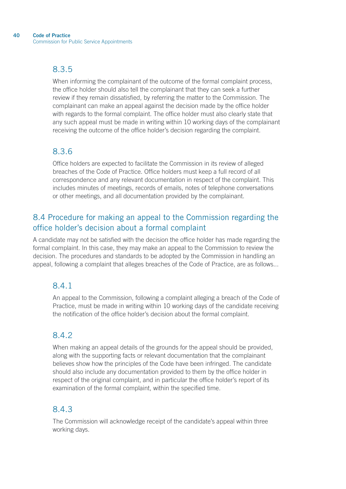# 8.3.5

When informing the complainant of the outcome of the formal complaint process, the office holder should also tell the complainant that they can seek a further review if they remain dissatisfied, by referring the matter to the Commission. The complainant can make an appeal against the decision made by the office holder with regards to the formal complaint. The office holder must also clearly state that any such appeal must be made in writing within 10 working days of the complainant receiving the outcome of the office holder's decision regarding the complaint.

# 8.3.6

Office holders are expected to facilitate the Commission in its review of alleged breaches of the Code of Practice. Office holders must keep a full record of all correspondence and any relevant documentation in respect of the complaint. This includes minutes of meetings, records of emails, notes of telephone conversations or other meetings, and all documentation provided by the complainant.

## 8.4 Procedure for making an appeal to the Commission regarding the office holder's decision about a formal complaint

A candidate may not be satisfied with the decision the office holder has made regarding the formal complaint. In this case, they may make an appeal to the Commission to review the decision. The procedures and standards to be adopted by the Commission in handling an appeal, following a complaint that alleges breaches of the Code of Practice, are as follows...

# 8.4.1

An appeal to the Commission, following a complaint alleging a breach of the Code of Practice, must be made in writing within 10 working days of the candidate receiving the notification of the office holder's decision about the formal complaint.

# 8.4.2

When making an appeal details of the grounds for the appeal should be provided, along with the supporting facts or relevant documentation that the complainant believes show how the principles of the Code have been infringed. The candidate should also include any documentation provided to them by the office holder in respect of the original complaint, and in particular the office holder's report of its examination of the formal complaint, within the specified time.

## 8.4.3

The Commission will acknowledge receipt of the candidate's appeal within three working days.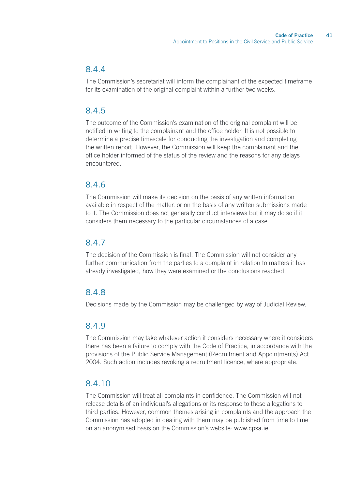#### 8.4.4

The Commission's secretariat will inform the complainant of the expected timeframe for its examination of the original complaint within a further two weeks.

#### 8.4.5

The outcome of the Commission's examination of the original complaint will be notified in writing to the complainant and the office holder. It is not possible to determine a precise timescale for conducting the investigation and completing the written report. However, the Commission will keep the complainant and the office holder informed of the status of the review and the reasons for any delays encountered.

#### 8.4.6

The Commission will make its decision on the basis of any written information available in respect of the matter, or on the basis of any written submissions made to it. The Commission does not generally conduct interviews but it may do so if it considers them necessary to the particular circumstances of a case.

#### 8.4.7

The decision of the Commission is final. The Commission will not consider any further communication from the parties to a complaint in relation to matters it has already investigated, how they were examined or the conclusions reached.

#### 8.4.8

Decisions made by the Commission may be challenged by way of Judicial Review.

#### 8.4.9

The Commission may take whatever action it considers necessary where it considers there has been a failure to comply with the Code of Practice, in accordance with the provisions of the Public Service Management (Recruitment and Appointments) Act 2004. Such action includes revoking a recruitment licence, where appropriate.

#### 8.4.10

The Commission will treat all complaints in confidence. The Commission will not release details of an individual's allegations or its response to these allegations to third parties. However, common themes arising in complaints and the approach the Commission has adopted in dealing with them may be published from time to time on an anonymised basis on the Commission's website: www.cpsa.ie.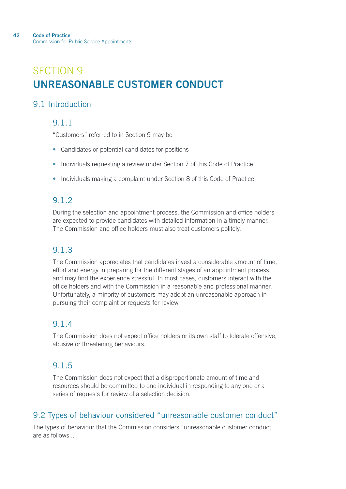# SECTION 9 **UNREASONABLE CUSTOMER CONDUCT**

# 9.1 Introduction

# 9.1.1

"Customers" referred to in Section 9 may be

- Candidates or potential candidates for positions
- Individuals requesting a review under Section 7 of this Code of Practice
- Individuals making a complaint under Section 8 of this Code of Practice

# 9.1.2

During the selection and appointment process, the Commission and office holders are expected to provide candidates with detailed information in a timely manner. The Commission and office holders must also treat customers politely.

## 9.1.3

The Commission appreciates that candidates invest a considerable amount of time, effort and energy in preparing for the different stages of an appointment process, and may find the experience stressful. In most cases, customers interact with the office holders and with the Commission in a reasonable and professional manner. Unfortunately, a minority of customers may adopt an unreasonable approach in pursuing their complaint or requests for review.

# 9.1.4

The Commission does not expect office holders or its own staff to tolerate offensive, abusive or threatening behaviours.

# 9.1.5

The Commission does not expect that a disproportionate amount of time and resources should be committed to one individual in responding to any one or a series of requests for review of a selection decision.

## 9.2 Types of behaviour considered "unreasonable customer conduct"

The types of behaviour that the Commission considers "unreasonable customer conduct" are as follows...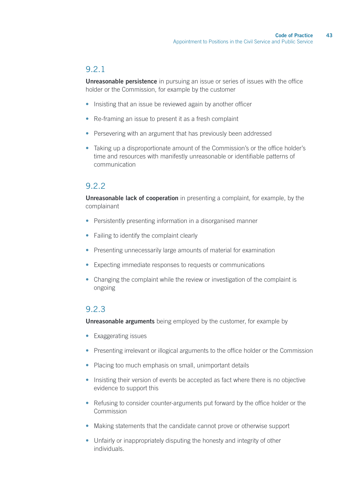#### 9.2.1

**Unreasonable persistence** in pursuing an issue or series of issues with the office holder or the Commission, for example by the customer

- Insisting that an issue be reviewed again by another officer
- Re-framing an issue to present it as a fresh complaint
- Persevering with an argument that has previously been addressed
- Taking up a disproportionate amount of the Commission's or the office holder's time and resources with manifestly unreasonable or identifiable patterns of communication

#### 9.2.2

**Unreasonable lack of cooperation** in presenting a complaint, for example, by the complainant

- Persistently presenting information in a disorganised manner
- Failing to identify the complaint clearly
- Presenting unnecessarily large amounts of material for examination
- Expecting immediate responses to requests or communications
- Changing the complaint while the review or investigation of the complaint is ongoing

#### 9.2.3

**Unreasonable arguments** being employed by the customer, for example by

- Exaggerating issues
- Presenting irrelevant or illogical arguments to the office holder or the Commission
- Placing too much emphasis on small, unimportant details
- Insisting their version of events be accepted as fact where there is no objective evidence to support this
- Refusing to consider counter-arguments put forward by the office holder or the Commission
- Making statements that the candidate cannot prove or otherwise support
- Unfairly or inappropriately disputing the honesty and integrity of other individuals.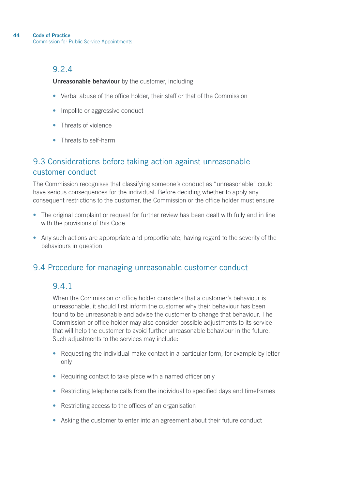#### 9.2.4

**Unreasonable behaviour** by the customer, including

- Verbal abuse of the office holder, their staff or that of the Commission
- Impolite or aggressive conduct
- Threats of violence
- Threats to self-harm

#### 9.3 Considerations before taking action against unreasonable customer conduct

The Commission recognises that classifying someone's conduct as "unreasonable" could have serious consequences for the individual. Before deciding whether to apply any consequent restrictions to the customer, the Commission or the office holder must ensure

- The original complaint or request for further review has been dealt with fully and in line with the provisions of this Code
- Any such actions are appropriate and proportionate, having regard to the severity of the behaviours in question

#### 9.4 Procedure for managing unreasonable customer conduct

#### 9.4.1

When the Commission or office holder considers that a customer's behaviour is unreasonable, it should first inform the customer why their behaviour has been found to be unreasonable and advise the customer to change that behaviour. The Commission or office holder may also consider possible adjustments to its service that will help the customer to avoid further unreasonable behaviour in the future. Such adjustments to the services may include:

- Requesting the individual make contact in a particular form, for example by letter only
- Requiring contact to take place with a named officer only
- Restricting telephone calls from the individual to specified days and timeframes
- Restricting access to the offices of an organisation
- Asking the customer to enter into an agreement about their future conduct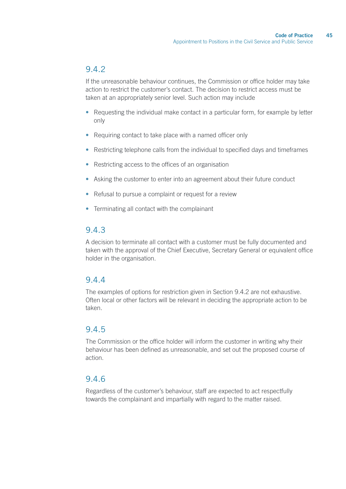#### 9.4.2

If the unreasonable behaviour continues, the Commission or office holder may take action to restrict the customer's contact. The decision to restrict access must be taken at an appropriately senior level. Such action may include

- Requesting the individual make contact in a particular form, for example by letter only
- Requiring contact to take place with a named officer only
- Restricting telephone calls from the individual to specified days and timeframes
- Restricting access to the offices of an organisation
- Asking the customer to enter into an agreement about their future conduct
- Refusal to pursue a complaint or request for a review
- Terminating all contact with the complainant

#### 9.4.3

A decision to terminate all contact with a customer must be fully documented and taken with the approval of the Chief Executive, Secretary General or equivalent office holder in the organisation.

#### 9.4.4

The examples of options for restriction given in Section 9.4.2 are not exhaustive. Often local or other factors will be relevant in deciding the appropriate action to be taken.

#### 9.4.5

The Commission or the office holder will inform the customer in writing why their behaviour has been defined as unreasonable, and set out the proposed course of action.

#### 9.4.6

Regardless of the customer's behaviour, staff are expected to act respectfully towards the complainant and impartially with regard to the matter raised.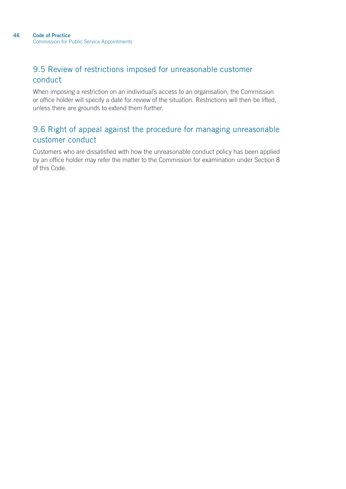# 9.5 Review of restrictions imposed for unreasonable customer conduct

When imposing a restriction on an individual's access to an organisation, the Commission or office holder will specify a date for review of the situation. Restrictions will then be lifted, unless there are grounds to extend them further.

## 9.6 Right of appeal against the procedure for managing unreasonable customer conduct

Customers who are dissatisfied with how the unreasonable conduct policy has been applied by an office holder may refer the matter to the Commission for examination under Section 8 of this Code.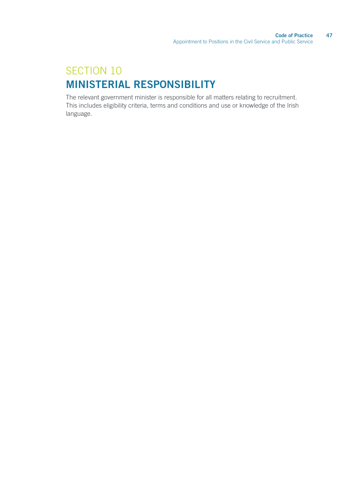# SECTION 10 **MINISTERIAL RESPONSIBILITY**

The relevant government minister is responsible for all matters relating to recruitment. This includes eligibility criteria, terms and conditions and use or knowledge of the Irish language.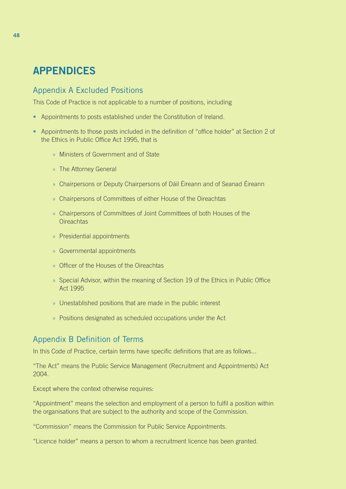# **APPENDICES**

#### Appendix A Excluded Positions

This Code of Practice is not applicable to a number of positions, including

- Appointments to posts established under the Constitution of Ireland.
- Appointments to those posts included in the definition of "office holder" at Section 2 of the Ethics in Public Office Act 1995, that is
	- » Ministers of Government and of State
	- » The Attorney General
	- » Chairpersons or Deputy Chairpersons of Dáil Éireann and of Seanad Éireann
	- » Chairpersons of Committees of either House of the Oireachtas
	- » Chairpersons of Committees of Joint Committees of both Houses of the Oireachtas
	- » Presidential appointments
	- » Governmental appointments
	- » Officer of the Houses of the Oireachtas
	- » Special Advisor, within the meaning of Section 19 of the Ethics in Public Office Act 1995
	- » Unestablished positions that are made in the public interest
	- » Positions designated as scheduled occupations under the Act

#### Appendix B Definition of Terms

In this Code of Practice, certain terms have specific definitions that are as follows...

"The Act" means the Public Service Management (Recruitment and Appointments) Act 2004.

Except where the context otherwise requires:

"Appointment" means the selection and employment of a person to fulfil a position within the organisations that are subject to the authority and scope of the Commission.

"Commission" means the Commission for Public Service Appointments.

"Licence holder" means a person to whom a recruitment licence has been granted.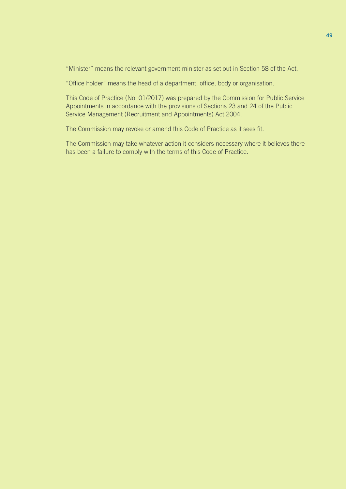"Minister" means the relevant government minister as set out in Section 58 of the Act.

"Office holder" means the head of a department, office, body or organisation.

This Code of Practice (No. 01/2017) was prepared by the Commission for Public Service Appointments in accordance with the provisions of Sections 23 and 24 of the Public Service Management (Recruitment and Appointments) Act 2004.

The Commission may revoke or amend this Code of Practice as it sees fit.

The Commission may take whatever action it considers necessary where it believes there has been a failure to comply with the terms of this Code of Practice.